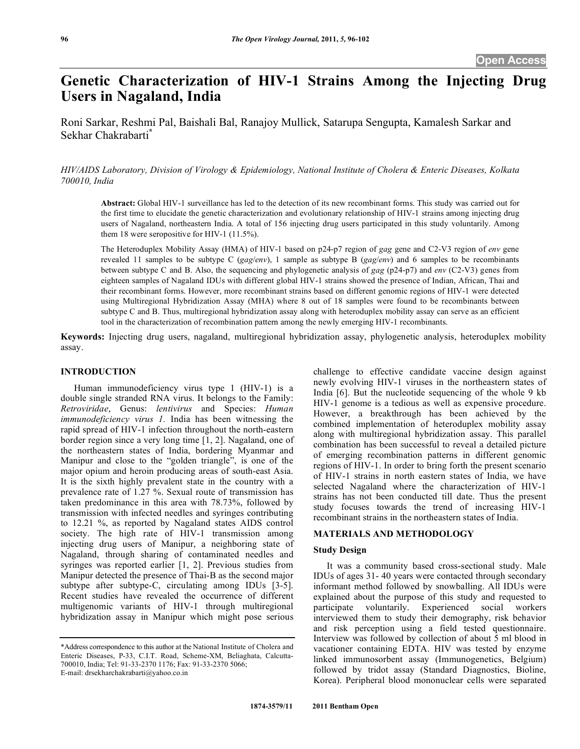# **Genetic Characterization of HIV-1 Strains Among the Injecting Drug Users in Nagaland, India**

Roni Sarkar, Reshmi Pal, Baishali Bal, Ranajoy Mullick, Satarupa Sengupta, Kamalesh Sarkar and Sekhar Chakrabarti**\***

*HIV/AIDS Laboratory, Division of Virology & Epidemiology, National Institute of Cholera & Enteric Diseases, Kolkata 700010, India* 

**Abstract:** Global HIV-1 surveillance has led to the detection of its new recombinant forms. This study was carried out for the first time to elucidate the genetic characterization and evolutionary relationship of HIV-1 strains among injecting drug users of Nagaland, northeastern India. A total of 156 injecting drug users participated in this study voluntarily. Among them 18 were seropositive for HIV-1 (11.5%).

The Heteroduplex Mobility Assay (HMA) of HIV-1 based on p24-p7 region of *gag* gene and C2-V3 region of *env* gene revealed 11 samples to be subtype C (*gag*/*env*), 1 sample as subtype B (*gag*/*env*) and 6 samples to be recombinants between subtype C and B. Also, the sequencing and phylogenetic analysis of *gag* (p24-p7) and *env* (C2-V3) genes from eighteen samples of Nagaland IDUs with different global HIV-1 strains showed the presence of Indian, African, Thai and their recombinant forms. However, more recombinant strains based on different genomic regions of HIV-1 were detected using Multiregional Hybridization Assay (MHA) where 8 out of 18 samples were found to be recombinants between subtype C and B. Thus, multiregional hybridization assay along with heteroduplex mobility assay can serve as an efficient tool in the characterization of recombination pattern among the newly emerging HIV-1 recombinants.

**Keywords:** Injecting drug users, nagaland, multiregional hybridization assay, phylogenetic analysis, heteroduplex mobility assay.

# **INTRODUCTION**

 Human immunodeficiency virus type 1 (HIV-1) is a double single stranded RNA virus. It belongs to the Family: *Retroviridae*, Genus: *lentivirus* and Species: *Human immunodeficiency virus 1.* India has been witnessing the rapid spread of HIV-1 infection throughout the north-eastern border region since a very long time [1, 2]. Nagaland, one of the northeastern states of India, bordering Myanmar and Manipur and close to the "golden triangle", is one of the major opium and heroin producing areas of south-east Asia. It is the sixth highly prevalent state in the country with a prevalence rate of 1.27 %. Sexual route of transmission has taken predominance in this area with 78.73%, followed by transmission with infected needles and syringes contributing to 12.21 %, as reported by Nagaland states AIDS control society. The high rate of HIV-1 transmission among injecting drug users of Manipur, a neighboring state of Nagaland, through sharing of contaminated needles and syringes was reported earlier [1, 2]. Previous studies from Manipur detected the presence of Thai-B as the second major subtype after subtype-C, circulating among IDUs [3-5]. Recent studies have revealed the occurrence of different multigenomic variants of HIV-1 through multiregional hybridization assay in Manipur which might pose serious challenge to effective candidate vaccine design against newly evolving HIV-1 viruses in the northeastern states of India [6]. But the nucleotide sequencing of the whole 9 kb HIV-1 genome is a tedious as well as expensive procedure. However, a breakthrough has been achieved by the combined implementation of heteroduplex mobility assay along with multiregional hybridization assay. This parallel combination has been successful to reveal a detailed picture of emerging recombination patterns in different genomic regions of HIV-1. In order to bring forth the present scenario of HIV-1 strains in north eastern states of India, we have selected Nagaland where the characterization of HIV-1 strains has not been conducted till date. Thus the present study focuses towards the trend of increasing HIV-1 recombinant strains in the northeastern states of India.

#### **MATERIALS AND METHODOLOGY**

# **Study Design**

 It was a community based cross-sectional study. Male IDUs of ages 31- 40 years were contacted through secondary informant method followed by snowballing. All IDUs were explained about the purpose of this study and requested to participate voluntarily. Experienced social workers interviewed them to study their demography, risk behavior and risk perception using a field tested questionnaire. Interview was followed by collection of about 5 ml blood in vacationer containing EDTA. HIV was tested by enzyme linked immunosorbent assay (Immunogenetics, Belgium) followed by tridot assay (Standard Diagnostics, Bioline, Korea). Peripheral blood mononuclear cells were separated

<sup>\*</sup>Address correspondence to this author at the National Institute of Cholera and Enteric Diseases, P-33, C.I.T. Road, Scheme-XM, Beliaghata, Calcutta-700010, India; Tel: 91-33-2370 1176; Fax: 91-33-2370 5066; E-mail: drsekharchakrabarti@yahoo.co.in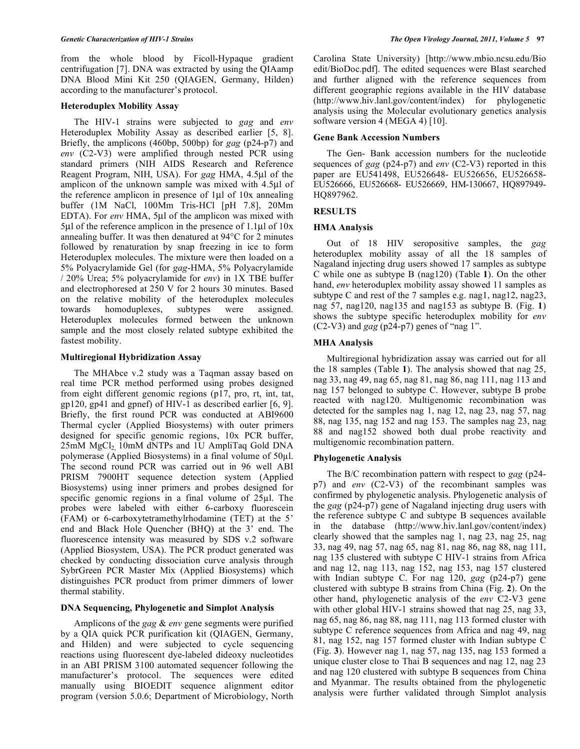from the whole blood by Ficoll-Hypaque gradient centrifugation [7]. DNA was extracted by using the QIAamp DNA Blood Mini Kit 250 (QIAGEN, Germany, Hilden) according to the manufacturer's protocol.

# **Heteroduplex Mobility Assay**

 The HIV-1 strains were subjected to *gag* and *env* Heteroduplex Mobility Assay as described earlier [5, 8]. Briefly, the amplicons (460bp, 500bp) for *gag* (p24-p7) and *env* (C2-V3) were amplified through nested PCR using standard primers (NIH AIDS Research and Reference Reagent Program, NIH, USA). For *gag* HMA, 4.5μl of the amplicon of the unknown sample was mixed with 4.5μl of the reference amplicon in presence of 1μl of 10x annealing buffer (1M NaCl, 100Mm Tris-HCl [pH 7.8], 20Mm EDTA). For *env* HMA, 5μl of the amplicon was mixed with 5μl of the reference amplicon in the presence of 1.1μl of 10x annealing buffer. It was then denatured at 94°C for 2 minutes followed by renaturation by snap freezing in ice to form Heteroduplex molecules. The mixture were then loaded on a 5% Polyacrylamide Gel (for *gag*-HMA, 5% Polyacrylamide / 20% Urea; 5% polyacrylamide for *env*) in 1X TBE buffer and electrophoresed at 250 V for 2 hours 30 minutes. Based on the relative mobility of the heteroduplex molecules towards homoduplexes, subtypes were assigned. Heteroduplex molecules formed between the unknown sample and the most closely related subtype exhibited the fastest mobility.

# **Multiregional Hybridization Assay**

 The MHAbce v.2 study was a Taqman assay based on real time PCR method performed using probes designed from eight different genomic regions (p17, pro, rt, int, tat, gp120, gp41 and gpnef) of HIV-1 as described earlier [6, 9]. Briefly, the first round PCR was conducted at ABI9600 Thermal cycler (Applied Biosystems) with outer primers designed for specific genomic regions, 10x PCR buffer,  $25 \text{m}$ M MgCl<sub>2</sub> 10mM dNTPs and 1U AmpliTaq Gold DNA polymerase (Applied Biosystems) in a final volume of  $50\mu$ l. The second round PCR was carried out in 96 well ABI PRISM 7900HT sequence detection system (Applied Biosystems) using inner primers and probes designed for specific genomic regions in a final volume of  $25\mu$ . The probes were labeled with either 6-carboxy fluorescein (FAM) or 6-carboxytetramethylrhodamine (TET) at the 5' end and Black Hole Quencher (BHQ) at the 3' end. The fluorescence intensity was measured by SDS v.2 software (Applied Biosystem, USA). The PCR product generated was checked by conducting dissociation curve analysis through SybrGreen PCR Master Mix (Applied Biosystems) which distinguishes PCR product from primer dimmers of lower thermal stability.

# **DNA Sequencing, Phylogenetic and Simplot Analysis**

 Amplicons of the *gag* & *env* gene segments were purified by a QIA quick PCR purification kit (QIAGEN, Germany, and Hilden) and were subjected to cycle sequencing reactions using fluorescent dye-labeled dideoxy nucleotides in an ABI PRISM 3100 automated sequencer following the manufacturer's protocol. The sequences were edited manually using BIOEDIT sequence alignment editor program (version 5.0.6; Department of Microbiology, North

Carolina State University) [http://www.mbio.ncsu.edu/Bio edit/BioDoc.pdf]. The edited sequences were Blast searched and further aligned with the reference sequences from different geographic regions available in the HIV database (http://www.hiv.lanl.gov/content/index) for phylogenetic analysis using the Molecular evolutionary genetics analysis software version 4 (MEGA 4) [10].

# **Gene Bank Accession Numbers**

 The Gen- Bank accession numbers for the nucleotide sequences of *gag* (p24-p7) and *env* (C2-V3) reported in this paper are EU541498, EU526648- EU526656, EU526658- EU526666, EU526668- EU526669, HM-130667, HQ897949- HO897962.

# **RESULTS**

# **HMA Analysis**

 Out of 18 HIV seropositive samples, the *gag* heteroduplex mobility assay of all the 18 samples of Nagaland injecting drug users showed 17 samples as subtype C while one as subtype B (nag120) (Table **1**). On the other hand, *env* heteroduplex mobility assay showed 11 samples as subtype C and rest of the 7 samples e.g. nag1, nag12, nag23, nag 57, nag120, nag135 and nag153 as subtype B. (Fig. **1**) shows the subtype specific heteroduplex mobility for *env* (C2-V3) and *gag* (p24-p7) genes of "nag 1".

# **MHA Analysis**

 Multiregional hybridization assay was carried out for all the 18 samples (Table **1**). The analysis showed that nag 25, nag 33, nag 49, nag 65, nag 81, nag 86, nag 111, nag 113 and nag 157 belonged to subtype C. However, subtype B probe reacted with nag120. Multigenomic recombination was detected for the samples nag 1, nag 12, nag 23, nag 57, nag 88, nag 135, nag 152 and nag 153. The samples nag 23, nag 88 and nag152 showed both dual probe reactivity and multigenomic recombination pattern.

# **Phylogenetic Analysis**

 The B/C recombination pattern with respect to *gag* (p24 p7) and *env* (C2-V3) of the recombinant samples was confirmed by phylogenetic analysis. Phylogenetic analysis of the *gag* (p24-p7) gene of Nagaland injecting drug users with the reference subtype C and subtype B sequences available in the database (http://www.hiv.lanl.gov/content/index) clearly showed that the samples nag 1, nag 23, nag 25, nag 33, nag 49, nag 57, nag 65, nag 81, nag 86, nag 88, nag 111, nag 135 clustered with subtype C HIV-1 strains from Africa and nag 12, nag 113, nag 152, nag 153, nag 157 clustered with Indian subtype C. For nag 120, *gag* (p24-p7) gene clustered with subtype B strains from China (Fig. **2**). On the other hand, phylogenetic analysis of the *env* C2-V3 gene with other global HIV-1 strains showed that nag 25, nag 33, nag 65, nag 86, nag 88, nag 111, nag 113 formed cluster with subtype C reference sequences from Africa and nag 49, nag 81, nag 152, nag 157 formed cluster with Indian subtype C (Fig. **3**). However nag 1, nag 57, nag 135, nag 153 formed a unique cluster close to Thai B sequences and nag 12, nag 23 and nag 120 clustered with subtype B sequences from China and Myanmar. The results obtained from the phylogenetic analysis were further validated through Simplot analysis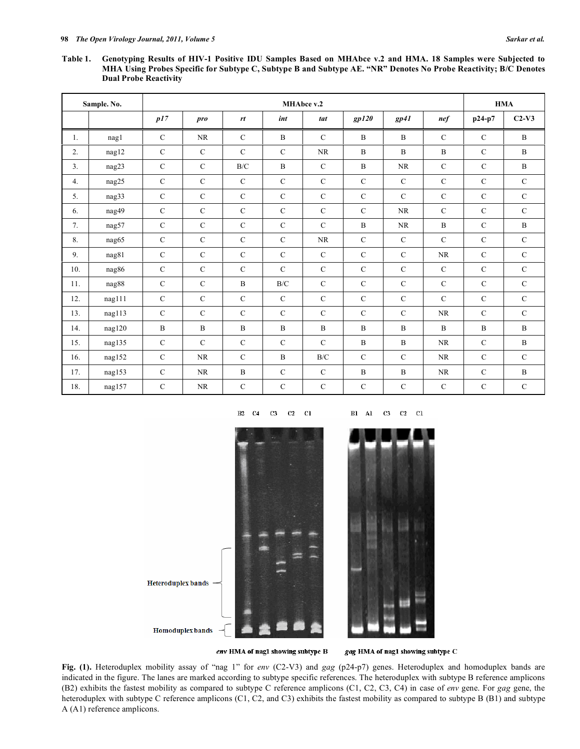**Table 1. Genotyping Results of HIV-1 Positive IDU Samples Based on MHAbce v.2 and HMA. 18 Samples were Subjected to MHA Using Probes Specific for Subtype C, Subtype B and Subtype AE. "NR" Denotes No Probe Reactivity; B/C Denotes Dual Probe Reactivity** 

|                  | Sample. No. |               |               |               | MHAbce v.2    |               |                |                |                |               | <b>HMA</b>    |
|------------------|-------------|---------------|---------------|---------------|---------------|---------------|----------------|----------------|----------------|---------------|---------------|
|                  |             | p17           | pro           | rt            | int           | tat           | gp120          | $gp41$         | $\mathbf{nef}$ | p24-p7        | $C2-V3$       |
| 1.               | nag1        | $\mathcal{C}$ | <b>NR</b>     | $\mathcal{C}$ | B             | $\mathcal{C}$ | B              | $\mathbf{B}$   | $\mathcal{C}$  | $\mathcal{C}$ | $\mathbf B$   |
| $\overline{2}$ . | nag12       | $\mathbf C$   | $\mathcal{C}$ | $\mathcal{C}$ | $\mathcal{C}$ | <b>NR</b>     | $\overline{B}$ | $\overline{B}$ | $\overline{B}$ | $\mathcal{C}$ | $\mathbf B$   |
| 3 <sub>1</sub>   | nag23       | $\mathcal{C}$ | $\mathcal{C}$ | B/C           | $\mathbf B$   | $\mathcal{C}$ | B              | <b>NR</b>      | $\mathcal{C}$  | $\mathcal{C}$ | $\mathbf B$   |
| 4.               | nag25       | $\mathbf C$   | $\mathbf C$   | $\mathbf C$   | $\mathbf C$   | $\mathbf C$   | $\mathbf C$    | $\mathcal{C}$  | $\mathbf C$    | $\mathbf C$   | $\mathbf C$   |
| 5.               | nag33       | $\mathcal{C}$ | $\mathbf C$   | $\mathcal{C}$ | $\mathcal{C}$ | $\mathbf C$   | $\mathcal{C}$  | $\mathcal{C}$  | $\mathcal{C}$  | $\mathcal{C}$ | $\mathbf C$   |
| 6.               | nag49       | $\mathbf C$   | $\mathbf C$   | $\mathbf C$   | $\mathbf C$   | $\mathbf C$   | $\mathbf C$    | NR.            | $\mathcal{C}$  | $\mathbf C$   | $\mathbf C$   |
| 7.               | nag57       | $\mathbf C$   | $\mathbf C$   | $\mathbf C$   | $\mathbf C$   | $\mathbf C$   | B              | <b>NR</b>      | $\mathbf B$    | $\mathcal{C}$ | $\mathbf B$   |
| 8.               | nag65       | $\mathcal{C}$ | $\mathcal{C}$ | $\mathcal{C}$ | $\mathcal{C}$ | <b>NR</b>     | $\mathcal{C}$  | $\mathcal{C}$  | $\mathcal{C}$  | $\mathcal{C}$ | $\mathcal{C}$ |
| 9.               | nag81       | $\mathcal{C}$ | $\mathcal{C}$ | $\mathcal{C}$ | $\mathcal{C}$ | $\mathbf C$   | $\mathbf C$    | $\mathcal{C}$  | NR             | $\mathcal{C}$ | $\mathcal{C}$ |
| 10.              | nag86       | $\mathbf C$   | $\mathcal{C}$ | $\mathcal{C}$ | $\mathcal{C}$ | $\mathbf C$   | $\mathcal{C}$  | $\mathcal{C}$  | $\mathcal{C}$  | $\mathcal{C}$ | $\mathbf C$   |
| 11.              | nag88       | $\mathcal{C}$ | $\mathcal{C}$ | $\mathbf B$   | B/C           | $\mathcal{C}$ | $\mathcal{C}$  | $\mathbf C$    | $\mathcal{C}$  | $\mathcal{C}$ | $\mathcal{C}$ |
| 12.              | nag111      | $\mathbf C$   | $\mathbf C$   | $\mathbf C$   | $\mathbf C$   | $\mathbf C$   | $\mathbf C$    | $\mathcal{C}$  | $\mathcal{C}$  | $\mathcal{C}$ | $\mathbf C$   |
| 13.              | nag113      | $\mathcal{C}$ | $\mathcal{C}$ | $\mathcal{C}$ | $\mathcal{C}$ | $\mathcal{C}$ | $\mathcal{C}$  | $\mathcal{C}$  | <b>NR</b>      | $\mathcal{C}$ | $\mathcal{C}$ |
| 14.              | nag120      | $\mathbf{B}$  | $\mathbf B$   | $\, {\bf B}$  | $\, {\bf B}$  | $\, {\bf B}$  | B              | $\mathbf B$    | $\mathbf B$    | $\mathbf B$   | $\, {\bf B}$  |
| 15.              | nag135      | $\mathcal{C}$ | $\mathcal{C}$ | $\mathcal{C}$ | $\mathcal{C}$ | $\mathbf C$   | B              | $\mathbf B$    | NR             | $\mathcal{C}$ | $\mathbf B$   |
| 16.              | nag152      | $\mathcal{C}$ | <b>NR</b>     | $\mathcal{C}$ | B             | B/C           | $\mathcal{C}$  | $\mathcal{C}$  | NR             | $\mathcal{C}$ | $\mathcal{C}$ |
| 17.              | nag153      | $\mathbf C$   | <b>NR</b>     | B             | $\mathcal{C}$ | $\mathbf C$   | B              | $\mathbf B$    | NR             | $\mathbf C$   | $\, {\bf B}$  |
| 18.              | nag157      | $\mathbf C$   | <b>NR</b>     | $\mathbf C$   | $\mathbf C$   | $\mathbf C$   | $\mathcal{C}$  | $\mathcal{C}$  | $\mathcal{C}$  | $\mathcal{C}$ | $\mathbf C$   |

#### $C2$ B<sub>2</sub> C<sub>4</sub>  $C3$  $_{\rm c1}$

 $\mathbf{B1}$   $\quad$  Al  $C<sub>3</sub>$  $C2 \quad C1$ 



env HMA of nag1 showing subtype B

gag HMA of nag1 showing subtype C

**Fig. (1).** Heteroduplex mobility assay of "nag 1" for *env* (C2-V3) and *gag* (p24-p7) genes. Heteroduplex and homoduplex bands are indicated in the figure. The lanes are marked according to subtype specific references. The heteroduplex with subtype B reference amplicons (B2) exhibits the fastest mobility as compared to subtype C reference amplicons (C1, C2, C3, C4) in case of *env* gene. For *gag* gene, the heteroduplex with subtype C reference amplicons (C1, C2, and C3) exhibits the fastest mobility as compared to subtype B (B1) and subtype A (A1) reference amplicons.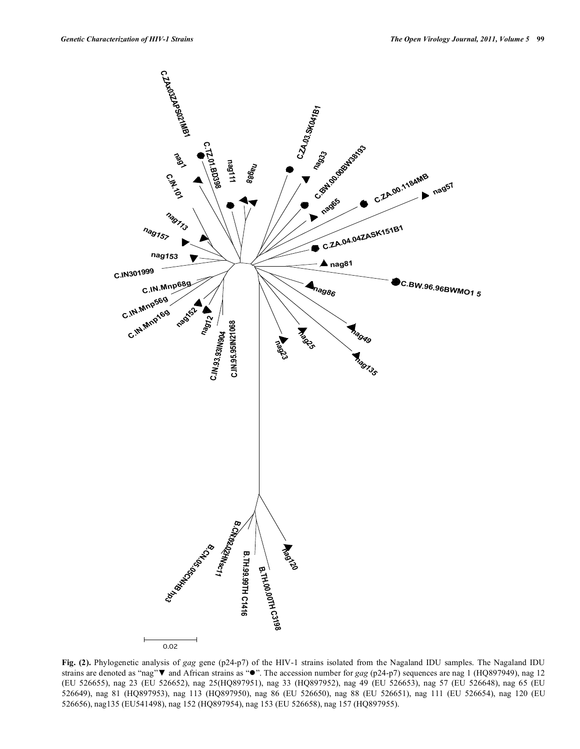

**Fig. (2).** Phylogenetic analysis of *gag* gene (p24-p7) of the HIV-1 strains isolated from the Nagaland IDU samples. The Nagaland IDU strains are denoted as "nag" **v** and African strains as " $\bullet$ ". The accession number for *gag* (p24-p7) sequences are nag 1 (HQ897949), nag 12 (EU 526655), nag 23 (EU 526652), nag 25(HQ897951), nag 33 (HQ897952), nag 49 (EU 526653), nag 57 (EU 526648), nag 65 (EU 526649), nag 81 (HQ897953), nag 113 (HQ897950), nag 86 (EU 526650), nag 88 (EU 526651), nag 111 (EU 526654), nag 120 (EU 526656), nag135 (EU541498), nag 152 (HQ897954), nag 153 (EU 526658), nag 157 (HQ897955).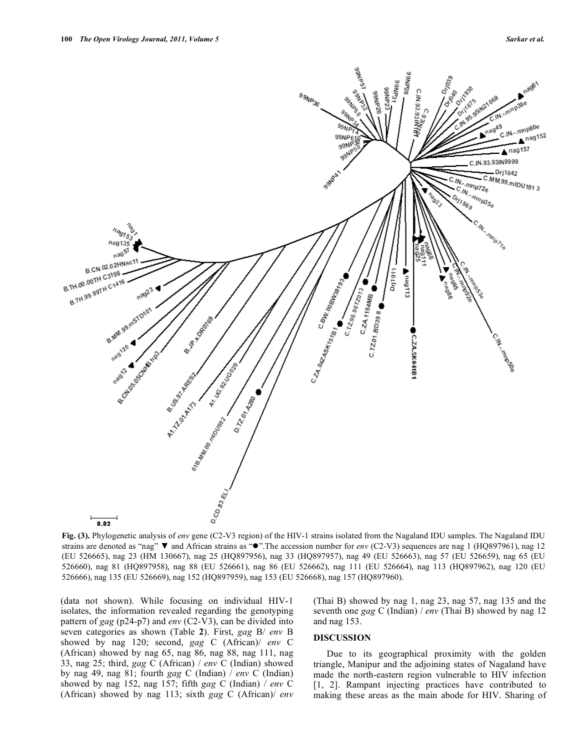

**Fig. (3).** Phylogenetic analysis of *env* gene (C2-V3 region) of the HIV-1 strains isolated from the Nagaland IDU samples. The Nagaland IDU strains are denoted as "nag"  $\blacktriangledown$  and African strains as " $\blacktriangledown$ ". The accession number for *env* (C2-V3) sequences are nag 1 (HQ897961), nag 12 (EU 526665), nag 23 (HM 130667), nag 25 (HQ897956), nag 33 (HQ897957), nag 49 (EU 526663), nag 57 (EU 526659), nag 65 (EU 526660), nag 81 (HQ897958), nag 88 (EU 526661), nag 86 (EU 526662), nag 111 (EU 526664), nag 113 (HQ897962), nag 120 (EU 526666), nag 135 (EU 526669), nag 152 (HQ897959), nag 153 (EU 526668), nag 157 (HQ897960).

(data not shown). While focusing on individual HIV-1 isolates, the information revealed regarding the genotyping pattern of *gag* (p24-p7) and *env* (C2-V3), can be divided into seven categories as shown (Table **2**). First, *gag* B/ *env* B showed by nag 120; second, *gag* C (African)/ *env* C (African) showed by nag 65, nag 86, nag 88, nag 111, nag 33, nag 25; third, *gag* C (African) / *env* C (Indian) showed by nag 49, nag 81; fourth *gag* C (Indian) / *env* C (Indian) showed by nag 152, nag 157; fifth *gag* C (Indian) / *env* C (African) showed by nag 113; sixth *gag* C (African)/ *env* (Thai B) showed by nag 1, nag 23, nag 57, nag 135 and the seventh one *gag* C (Indian) / *env* (Thai B) showed by nag 12 and nag 153.

#### **DISCUSSION**

 Due to its geographical proximity with the golden triangle, Manipur and the adjoining states of Nagaland have made the north-eastern region vulnerable to HIV infection [1, 2]. Rampant injecting practices have contributed to making these areas as the main abode for HIV. Sharing of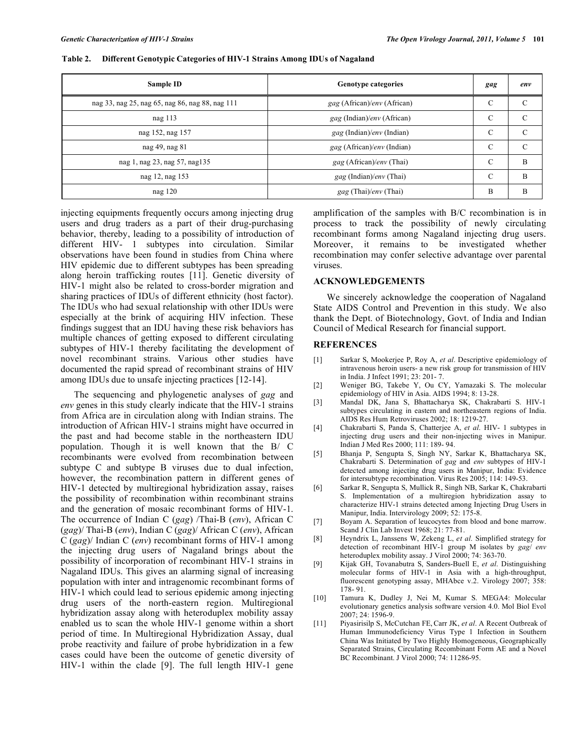| Sample ID                                       | <b>Genotype categories</b>               | gag           | env           |
|-------------------------------------------------|------------------------------------------|---------------|---------------|
| nag 33, nag 25, nag 65, nag 86, nag 88, nag 111 | gag (African)/env (African)              | $\mathcal{C}$ | $\sqrt{ }$    |
| nag $113$                                       | gag (Indian)/env (African)               | C             | C             |
| nag 152, nag 157                                | <i>gag</i> (Indian)/ <i>env</i> (Indian) | $\mathcal{C}$ | $\mathcal{C}$ |
| nag 49, nag 81                                  | gag (African)/env (Indian)               | $\mathcal{C}$ | C             |
| nag 1, nag 23, nag 57, nag 135                  | gag (African)/env (Thai)                 | C             | B             |
| nag 12, nag 153                                 | <i>gag</i> (Indian)/ <i>env</i> (Thai)   | $\mathcal{C}$ | B             |
| nag $120$                                       | gag (Thai)/env (Thai)                    | B             | B             |

**Table 2. Different Genotypic Categories of HIV-1 Strains Among IDUs of Nagaland** 

injecting equipments frequently occurs among injecting drug users and drug traders as a part of their drug-purchasing behavior, thereby, leading to a possibility of introduction of different HIV- 1 subtypes into circulation. Similar observations have been found in studies from China where HIV epidemic due to different subtypes has been spreading along heroin trafficking routes [11]. Genetic diversity of HIV-1 might also be related to cross-border migration and sharing practices of IDUs of different ethnicity (host factor). The IDUs who had sexual relationship with other IDUs were especially at the brink of acquiring HIV infection. These findings suggest that an IDU having these risk behaviors has multiple chances of getting exposed to different circulating subtypes of HIV-1 thereby facilitating the development of novel recombinant strains. Various other studies have documented the rapid spread of recombinant strains of HIV among IDUs due to unsafe injecting practices [12-14].

 The sequencing and phylogenetic analyses of *gag* and *env* genes in this study clearly indicate that the HIV-1 strains from Africa are in circulation along with Indian strains. The introduction of African HIV-1 strains might have occurred in the past and had become stable in the northeastern IDU population. Though it is well known that the B/ C recombinants were evolved from recombination between subtype C and subtype B viruses due to dual infection, however, the recombination pattern in different genes of HIV-1 detected by multiregional hybridization assay, raises the possibility of recombination within recombinant strains and the generation of mosaic recombinant forms of HIV-1. The occurrence of Indian C (*gag*) /Thai-B (*env*), African C (*gag*)/ Thai-B (*env*), Indian C (*gag*)/ African C (*env*), African C (*gag*)/ Indian C (*env*) recombinant forms of HIV-1 among the injecting drug users of Nagaland brings about the possibility of incorporation of recombinant HIV-1 strains in Nagaland IDUs. This gives an alarming signal of increasing population with inter and intragenomic recombinant forms of HIV-1 which could lead to serious epidemic among injecting drug users of the north-eastern region. Multiregional hybridization assay along with heteroduplex mobility assay enabled us to scan the whole HIV-1 genome within a short period of time. In Multiregional Hybridization Assay, dual probe reactivity and failure of probe hybridization in a few cases could have been the outcome of genetic diversity of HIV-1 within the clade [9]. The full length HIV-1 gene

amplification of the samples with B/C recombination is in process to track the possibility of newly circulating recombinant forms among Nagaland injecting drug users. Moreover, it remains to be investigated whether recombination may confer selective advantage over parental viruses.

# **ACKNOWLEDGEMENTS**

 We sincerely acknowledge the cooperation of Nagaland State AIDS Control and Prevention in this study. We also thank the Dept. of Biotechnology, Govt. of India and Indian Council of Medical Research for financial support.

# **REFERENCES**

- [1] Sarkar S, Mookerjee P, Roy A, *et al*. Descriptive epidemiology of intravenous heroin users- a new risk group for transmission of HIV in India. J Infect 1991; 23: 201- 7.
- [2] Weniger BG, Takebe Y, Ou CY, Yamazaki S. The molecular epidemiology of HIV in Asia. AIDS 1994; 8: 13-28.
- [3] Mandal DK, Jana S, Bhattacharya SK, Chakrabarti S. HIV-1 subtypes circulating in eastern and northeastern regions of India. AIDS Res Hum Retroviruses 2002; 18: 1219-27.
- [4] Chakrabarti S, Panda S, Chatterjee A, *et al*. HIV- 1 subtypes in injecting drug users and their non-injecting wives in Manipur. Indian J Med Res 2000; 111: 189- 94.
- [5] Bhanja P, Sengupta S, Singh NY, Sarkar K, Bhattacharya SK, Chakrabarti S. Determination of *gag* and *env* subtypes of HIV-1 detected among injecting drug users in Manipur, India: Evidence for intersubtype recombination. Virus Res 2005; 114: 149-53.
- [6] Sarkar R, Sengupta S, Mullick R, Singh NB, Sarkar K, Chakrabarti S. Implementation of a multiregion hybridization assay to characterize HIV-1 strains detected among Injecting Drug Users in Manipur, India. Intervirology 2009; 52: 175-8.
- [7] Boyam A. Separation of leucocytes from blood and bone marrow. Scand J Clin Lab Invest 1968; 21: 77-81.
- [8] Heyndrix L, Janssens W, Zekeng L, *et al*. Simplified strategy for detection of recombinant HIV-1 group M isolates by *gag*/ *env* heteroduplex mobility assay. J Virol 2000; 74: 363-70.
- [9] Kijak GH, Tovanabutra S, Sanders-Buell E, *et al*. Distinguishing molecular forms of HIV-1 in Asia with a high-throughput, fluorescent genotyping assay, MHAbce v.2. Virology 2007; 358: 178- 91.
- [10] Tamura K, Dudley J, Nei M, Kumar S. MEGA4: Molecular evolutionary genetics analysis software version 4.0. Mol Biol Evol 2007; 24: 1596-9.
- [11] Piyasirisilp S, McCutchan FE,Carr JK, *et al*. A Recent Outbreak of Human Immunodeficiency Virus Type 1 Infection in Southern China Was Initiated by Two Highly Homogeneous, Geographically Separated Strains, Circulating Recombinant Form AE and a Novel BC Recombinant. J Virol 2000; 74: 11286-95.